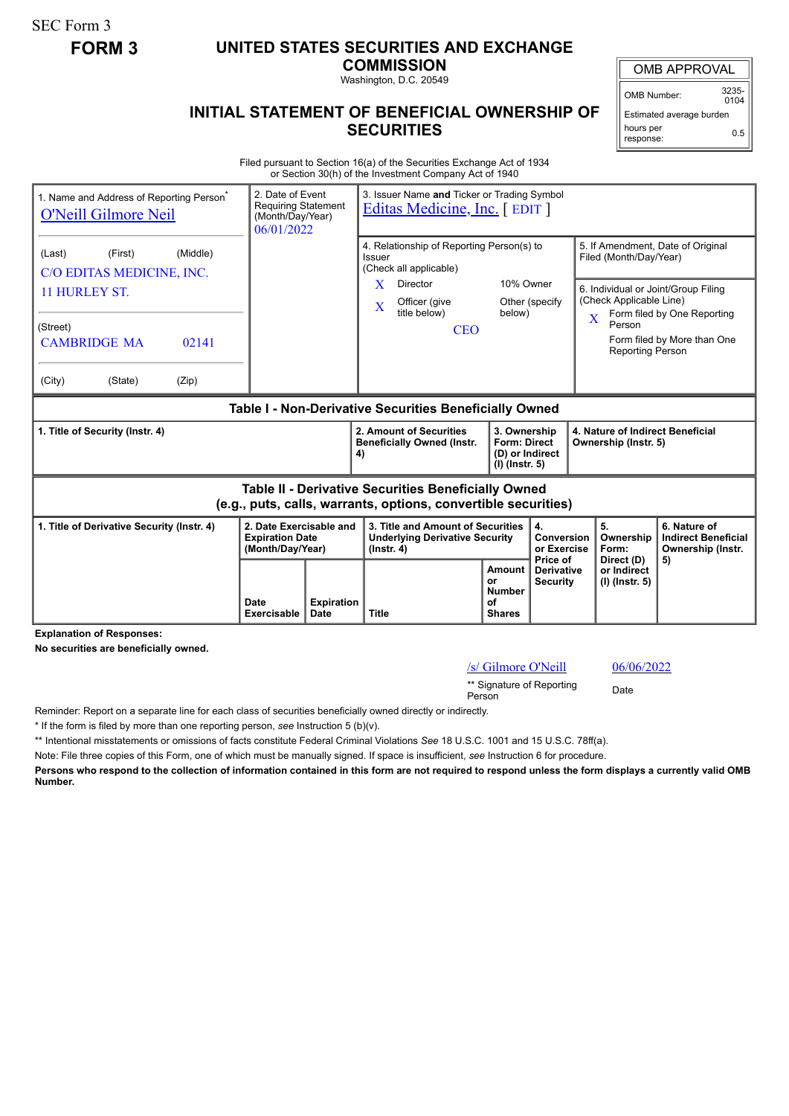SEC Form 3

## **FORM 3 UNITED STATES SECURITIES AND EXCHANGE**

**COMMISSION** Washington, D.C. 20549

## **INITIAL STATEMENT OF BENEFICIAL OWNERSHIP OF SECURITIES**

OMB APPROVAL

OMB Number: 3235-  $0104$ 

Estimated average burden hours per response: 0.5

Filed pursuant to Section 16(a) of the Securities Exchange Act of 1934 or Section 30(h) of the Investment Company Act of 1940

| 1. Name and Address of Reporting Person <sup>®</sup><br><b>O'Neill Gilmore Neil</b>                                                                   |                     | 2. Date of Event<br>3. Issuer Name and Ticker or Trading Symbol<br><b>Requiring Statement</b><br>Editas Medicine, Inc. [EDIT]<br>(Month/Day/Year)<br>06/01/2022 |                                                                                                                                                |                                                                                                                                |                                                                                              |                                                          |                                                                                                                                                                                               |                                                            |
|-------------------------------------------------------------------------------------------------------------------------------------------------------|---------------------|-----------------------------------------------------------------------------------------------------------------------------------------------------------------|------------------------------------------------------------------------------------------------------------------------------------------------|--------------------------------------------------------------------------------------------------------------------------------|----------------------------------------------------------------------------------------------|----------------------------------------------------------|-----------------------------------------------------------------------------------------------------------------------------------------------------------------------------------------------|------------------------------------------------------------|
| (Middle)<br>(Last)<br>(First)<br>C/O EDITAS MEDICINE, INC.<br>11 HURLEY ST.<br>(Street)<br><b>CAMBRIDGE MA</b><br>02141<br>(City)<br>(State)<br>(Zip) |                     |                                                                                                                                                                 | Issuer<br>X<br>X                                                                                                                               | 4. Relationship of Reporting Person(s) to<br>(Check all applicable)<br>Director<br>Officer (give<br>title below)<br><b>CEO</b> | 10% Owner<br>below)                                                                          | Other (specify                                           | 5. If Amendment, Date of Original<br>Filed (Month/Day/Year)<br>6. Individual or Joint/Group Filing<br>(Check Applicable Line)<br>$\overline{\mathbf{X}}$<br>Person<br><b>Reporting Person</b> | Form filed by One Reporting<br>Form filed by More than One |
| Table I - Non-Derivative Securities Beneficially Owned                                                                                                |                     |                                                                                                                                                                 |                                                                                                                                                |                                                                                                                                |                                                                                              |                                                          |                                                                                                                                                                                               |                                                            |
| 1. Title of Security (Instr. 4)                                                                                                                       |                     |                                                                                                                                                                 | 2. Amount of Securities<br>3. Ownership<br><b>Beneficially Owned (Instr.</b><br><b>Form: Direct</b><br>(D) or Indirect<br>4)<br>(I) (Instr. 5) |                                                                                                                                |                                                                                              | 4. Nature of Indirect Beneficial<br>Ownership (Instr. 5) |                                                                                                                                                                                               |                                                            |
| <b>Table II - Derivative Securities Beneficially Owned</b><br>(e.g., puts, calls, warrants, options, convertible securities)                          |                     |                                                                                                                                                                 |                                                                                                                                                |                                                                                                                                |                                                                                              |                                                          |                                                                                                                                                                                               |                                                            |
| 1. Title of Derivative Security (Instr. 4)<br>2. Date Exercisable and<br><b>Expiration Date</b><br>(Month/Day/Year)                                   |                     | 3. Title and Amount of Securities<br><b>Underlying Derivative Security</b><br>$($ lnstr. 4 $)$                                                                  |                                                                                                                                                |                                                                                                                                | 4.<br><b>Conversion</b><br>or Exercise<br>Price of                                           | 5.<br>Ownership<br>Form:                                 | 6. Nature of<br><b>Indirect Beneficial</b><br>Ownership (Instr.                                                                                                                               |                                                            |
|                                                                                                                                                       | Date<br>Exercisable | <b>Expiration</b><br>Date                                                                                                                                       | <b>Title</b>                                                                                                                                   |                                                                                                                                | Amount<br><b>Derivative</b><br>or<br><b>Security</b><br><b>Number</b><br>Ωf<br><b>Shares</b> |                                                          | Direct (D)<br>or Indirect<br>(I) (Instr. 5)                                                                                                                                                   | 5)                                                         |

**Explanation of Responses:**

**No securities are beneficially owned.**

## /s/ Gilmore O'Neill 06/06/2022

\*\* Signature of Reporting <sub>Date</sub><br>Person

Reminder: Report on a separate line for each class of securities beneficially owned directly or indirectly.

\* If the form is filed by more than one reporting person, *see* Instruction 5 (b)(v).

\*\* Intentional misstatements or omissions of facts constitute Federal Criminal Violations *See* 18 U.S.C. 1001 and 15 U.S.C. 78ff(a).

Note: File three copies of this Form, one of which must be manually signed. If space is insufficient, *see* Instruction 6 for procedure.

**Persons who respond to the collection of information contained in this form are not required to respond unless the form displays a currently valid OMB Number.**